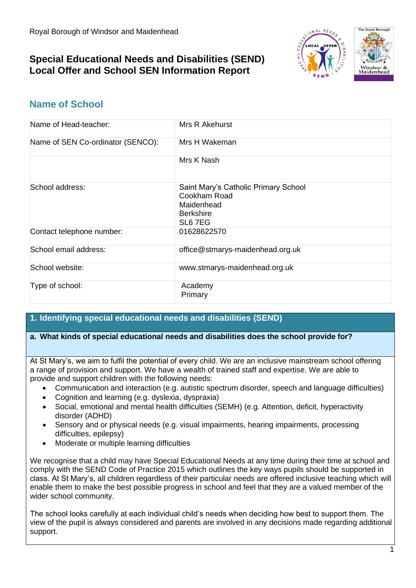# **Special Educational Needs and Disabilities (SEND) Local Offer and School SEN Information Report**



# **Name of School**

| Name of Head-teacher:             | Mrs R Akehurst                                                                                    |
|-----------------------------------|---------------------------------------------------------------------------------------------------|
| Name of SEN Co-ordinator (SENCO): | Mrs H Wakeman                                                                                     |
|                                   | Mrs K Nash                                                                                        |
| School address:                   | Saint Mary's Catholic Primary School<br>Cookham Road<br>Maidenhead<br><b>Berkshire</b><br>SL6 7EG |
| Contact telephone number:         | 01628622570                                                                                       |
| School email address:             | office@stmarys-maidenhead.org.uk                                                                  |
| School website:                   | www.stmarys-maidenhead.org.uk                                                                     |
| Type of school:                   | Academy<br>Primary                                                                                |

# **1. Identifying special educational needs and disabilities (SEND)**

#### **a. What kinds of special educational needs and disabilities does the school provide for?**

At St Mary's, we aim to fulfil the potential of every child. We are an inclusive mainstream school offering a range of provision and support. We have a wealth of trained staff and expertise. We are able to provide and support children with the following needs:

- Communication and interaction (e.g. autistic spectrum disorder, speech and language difficulties)
- Cognition and learning (e.g. dyslexia, dyspraxia)
- Social, emotional and mental health difficulties (SEMH) (e.g. Attention, deficit, hyperactivity disorder (ADHD)
- Sensory and or physical needs (e.g. visual impairments, hearing impairments, processing difficulties, epilepsy)
- Moderate or multiple learning difficulties

We recognise that a child may have Special Educational Needs at any time during their time at school and comply with the SEND Code of Practice 2015 which outlines the key ways pupils should be supported in class. At St Mary's, all children regardless of their particular needs are offered inclusive teaching which will enable them to make the best possible progress in school and feel that they are a valued member of the wider school community.

The school looks carefully at each individual child's needs when deciding how best to support them. The view of the pupil is always considered and parents are involved in any decisions made regarding additional support.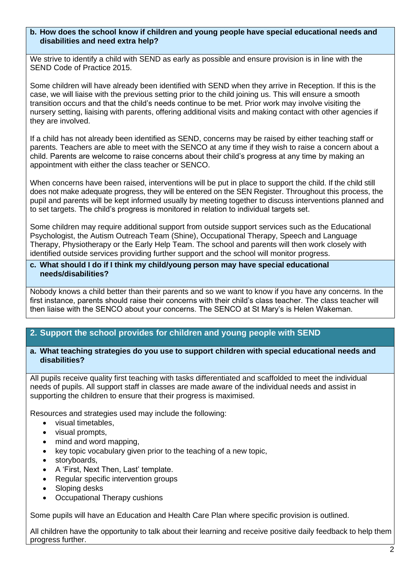#### **b. How does the school know if children and young people have special educational needs and disabilities and need extra help?**

We strive to identify a child with SEND as early as possible and ensure provision is in line with the SEND Code of Practice 2015.

Some children will have already been identified with SEND when they arrive in Reception. If this is the case, we will liaise with the previous setting prior to the child joining us. This will ensure a smooth transition occurs and that the child's needs continue to be met. Prior work may involve visiting the nursery setting, liaising with parents, offering additional visits and making contact with other agencies if they are involved.

If a child has not already been identified as SEND, concerns may be raised by either teaching staff or parents. Teachers are able to meet with the SENCO at any time if they wish to raise a concern about a child. Parents are welcome to raise concerns about their child's progress at any time by making an appointment with either the class teacher or SENCO.

When concerns have been raised, interventions will be put in place to support the child. If the child still does not make adequate progress, they will be entered on the SEN Register. Throughout this process, the pupil and parents will be kept informed usually by meeting together to discuss interventions planned and to set targets. The child's progress is monitored in relation to individual targets set.

Some children may require additional support from outside support services such as the Educational Psychologist, the Autism Outreach Team (Shine), Occupational Therapy, Speech and Language Therapy, Physiotherapy or the Early Help Team. The school and parents will then work closely with identified outside services providing further support and the school will monitor progress.

#### **c. What should I do if I think my child/young person may have special educational needs/disabilities?**

Nobody knows a child better than their parents and so we want to know if you have any concerns. In the first instance, parents should raise their concerns with their child's class teacher. The class teacher will then liaise with the SENCO about your concerns. The SENCO at St Mary's is Helen Wakeman.

# **2. Support the school provides for children and young people with SEND**

#### **a. What teaching strategies do you use to support children with special educational needs and disabilities?**

All pupils receive quality first teaching with tasks differentiated and scaffolded to meet the individual needs of pupils. All support staff in classes are made aware of the individual needs and assist in supporting the children to ensure that their progress is maximised.

Resources and strategies used may include the following:

- visual timetables,
- visual prompts,
- mind and word mapping,
- key topic vocabulary given prior to the teaching of a new topic,
- storyboards,
- A 'First, Next Then, Last' template.
- Regular specific intervention groups
- Sloping desks
- Occupational Therapy cushions

Some pupils will have an Education and Health Care Plan where specific provision is outlined.

All children have the opportunity to talk about their learning and receive positive daily feedback to help them progress further.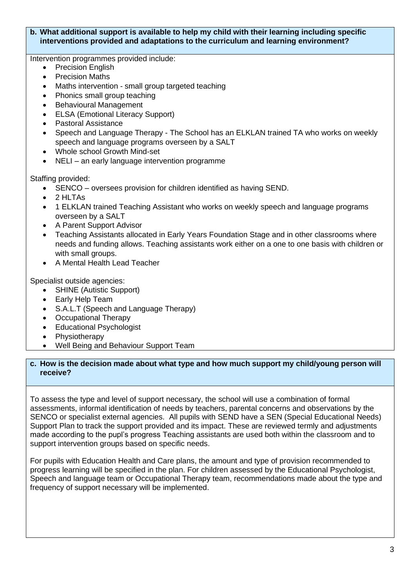## **b. What additional support is available to help my child with their learning including specific interventions provided and adaptations to the curriculum and learning environment?**

Intervention programmes provided include:

- Precision English
- **Precision Maths**
- Maths intervention small group targeted teaching
- Phonics small group teaching
- Behavioural Management
- ELSA (Emotional Literacy Support)
- Pastoral Assistance
- Speech and Language Therapy The School has an ELKLAN trained TA who works on weekly speech and language programs overseen by a SALT
- Whole school Growth Mind-set
- NELI an early language intervention programme

Staffing provided:

- SENCO oversees provision for children identified as having SEND.
- 2 HLTAs
- 1 ELKLAN trained Teaching Assistant who works on weekly speech and language programs overseen by a SALT
- A Parent Support Advisor
- Teaching Assistants allocated in Early Years Foundation Stage and in other classrooms where needs and funding allows. Teaching assistants work either on a one to one basis with children or with small groups.
- A Mental Health Lead Teacher

Specialist outside agencies:

- SHINE (Autistic Support)
- Early Help Team
- S.A.L.T (Speech and Language Therapy)
- Occupational Therapy
- Educational Psychologist
- **Physiotherapy**
- Well Being and Behaviour Support Team

## **c. How is the decision made about what type and how much support my child/young person will receive?**

To assess the type and level of support necessary, the school will use a combination of formal assessments, informal identification of needs by teachers, parental concerns and observations by the SENCO or specialist external agencies. All pupils with SEND have a SEN (Special Educational Needs) Support Plan to track the support provided and its impact. These are reviewed termly and adjustments made according to the pupl's progress Teaching assistants are used both within the classroom and to support intervention groups based on specific needs.

For pupils with Education Health and Care plans, the amount and type of provision recommended to progress learning will be specified in the plan. For children assessed by the Educational Psychologist, Speech and language team or Occupational Therapy team, recommendations made about the type and frequency of support necessary will be implemented.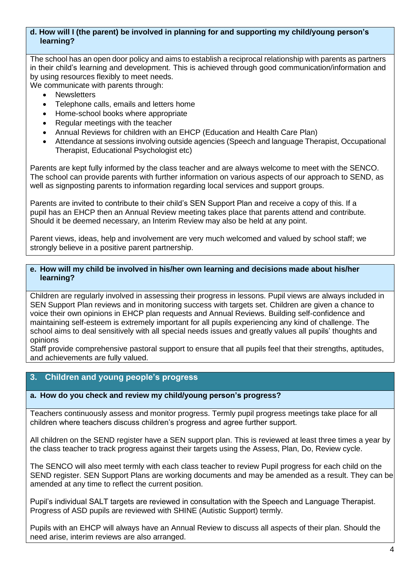#### **d. How will I (the parent) be involved in planning for and supporting my child/young person's learning?**

The school has an open door policy and aims to establish a reciprocal relationship with parents as partners in their child's learning and development. This is achieved through good communication/information and by using resources flexibly to meet needs.

We communicate with parents through:

- Newsletters
- Telephone calls, emails and letters home
- Home-school books where appropriate
- Regular meetings with the teacher
- Annual Reviews for children with an EHCP (Education and Health Care Plan)
- Attendance at sessions involving outside agencies (Speech and language Therapist, Occupational Therapist, Educational Psychologist etc)

Parents are kept fully informed by the class teacher and are always welcome to meet with the SENCO. The school can provide parents with further information on various aspects of our approach to SEND, as well as signposting parents to information regarding local services and support groups.

Parents are invited to contribute to their child's SEN Support Plan and receive a copy of this. If a pupil has an EHCP then an Annual Review meeting takes place that parents attend and contribute. Should it be deemed necessary, an Interim Review may also be held at any point.

Parent views, ideas, help and involvement are very much welcomed and valued by school staff; we strongly believe in a positive parent partnership.

#### **e. How will my child be involved in his/her own learning and decisions made about his/her learning?**

Children are regularly involved in assessing their progress in lessons. Pupil views are always included in SEN Support Plan reviews and in monitoring success with targets set. Children are given a chance to voice their own opinions in EHCP plan requests and Annual Reviews. Building self-confidence and maintaining self-esteem is extremely important for all pupils experiencing any kind of challenge. The school aims to deal sensitively with all special needs issues and greatly values all pupils' thoughts and opinions

Staff provide comprehensive pastoral support to ensure that all pupils feel that their strengths, aptitudes, and achievements are fully valued.

## **3. Children and young people's progress**

## **a. How do you check and review my child/young person's progress?**

Teachers continuously assess and monitor progress. Termly pupil progress meetings take place for all children where teachers discuss children's progress and agree further support.

All children on the SEND register have a SEN support plan. This is reviewed at least three times a year by the class teacher to track progress against their targets using the Assess, Plan, Do, Review cycle.

The SENCO will also meet termly with each class teacher to review Pupil progress for each child on the SEND register. SEN Support Plans are working documents and may be amended as a result. They can be amended at any time to reflect the current position.

Pupil's individual SALT targets are reviewed in consultation with the Speech and Language Therapist. Progress of ASD pupils are reviewed with SHINE (Autistic Support) termly.

Pupils with an EHCP will always have an Annual Review to discuss all aspects of their plan. Should the need arise, interim reviews are also arranged.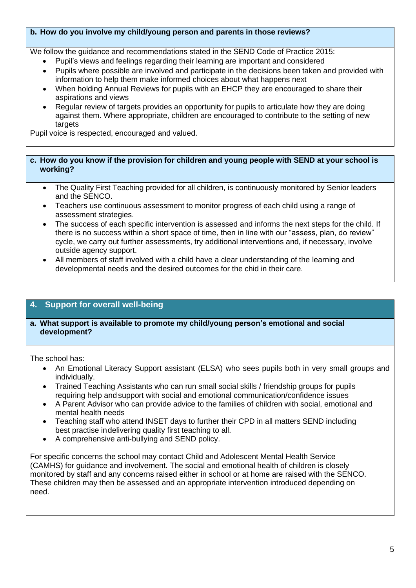#### **b. How do you involve my child/young person and parents in those reviews?**

We follow the guidance and recommendations stated in the SEND Code of Practice 2015:

- Pupil's views and feelings regarding their learning are important and considered
- Pupils where possible are involved and participate in the decisions been taken and provided with information to help them make informed choices about what happens next
- When holding Annual Reviews for pupils with an EHCP they are encouraged to share their aspirations and views
- Regular review of targets provides an opportunity for pupils to articulate how they are doing against them. Where appropriate, children are encouraged to contribute to the setting of new targets

Pupil voice is respected, encouraged and valued.

#### **c. How do you know if the provision for children and young people with SEND at your school is working?**

- The Quality First Teaching provided for all children, is continuously monitored by Senior leaders and the SENCO.
- Teachers use continuous assessment to monitor progress of each child using a range of assessment strategies.
- The success of each specific intervention is assessed and informs the next steps for the child. If there is no success within a short space of time, then in line with our "assess, plan, do review" cycle, we carry out further assessments, try additional interventions and, if necessary, involve outside agency support.
- All members of staff involved with a child have a clear understanding of the learning and developmental needs and the desired outcomes for the chid in their care.

# **4. Support for overall well-being**

#### **a. What support is available to promote my child/young person's emotional and social development?**

The school has:

- An Emotional Literacy Support assistant (ELSA) who sees pupils both in very small groups and individually.
- Trained Teaching Assistants who can run small social skills / friendship groups for pupils requiring help and support with social and emotional communication/confidence issues
- A Parent Advisor who can provide advice to the families of children with social, emotional and mental health needs
- Teaching staff who attend INSET days to further their CPD in all matters SEND including best practise in delivering quality first teaching to all.
- A comprehensive anti-bullying and SEND policy.

For specific concerns the school may contact Child and Adolescent Mental Health Service (CAMHS) for guidance and involvement. The social and emotional health of children is closely monitored by staff and any concerns raised either in school or at home are raised with the SENCO. These children may then be assessed and an appropriate intervention introduced depending on need.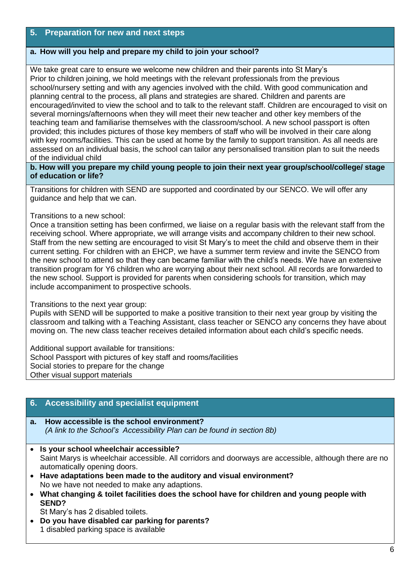# **5. Preparation for new and next steps**

## **a. How will you help and prepare my child to join your school?**

We take great care to ensure we welcome new children and their parents into St Mary's Prior to children joining, we hold meetings with the relevant professionals from the previous school/nursery setting and with any agencies involved with the child. With good communication and planning central to the process, all plans and strategies are shared. Children and parents are encouraged/invited to view the school and to talk to the relevant staff. Children are encouraged to visit on several mornings/afternoons when they will meet their new teacher and other key members of the teaching team and familiarise themselves with the classroom/school. A new school passport is often provided; this includes pictures of those key members of staff who will be involved in their care along with key rooms/facilities. This can be used at home by the family to support transition. As all needs are assessed on an individual basis, the school can tailor any personalised transition plan to suit the needs of the individual child

**b. How will you prepare my child young people to join their next year group/school/college/ stage of education or life?**

Transitions for children with SEND are supported and coordinated by our SENCO. We will offer any guidance and help that we can.

#### Transitions to a new school:

Once a transition setting has been confirmed, we liaise on a regular basis with the relevant staff from the receiving school. Where appropriate, we will arrange visits and accompany children to their new school. Staff from the new setting are encouraged to visit St Mary's to meet the child and observe them in their current setting. For children with an EHCP, we have a summer term review and invite the SENCO from the new school to attend so that they can became familiar with the child's needs. We have an extensive transition program for Y6 children who are worrying about their next school. All records are forwarded to the new school. Support is provided for parents when considering schools for transition, which may include accompaniment to prospective schools.

#### Transitions to the next year group:

Pupils with SEND will be supported to make a positive transition to their next year group by visiting the classroom and talking with a Teaching Assistant, class teacher or SENCO any concerns they have about moving on. The new class teacher receives detailed information about each child's specific needs.

Additional support available for transitions: School Passport with pictures of key staff and rooms/facilities Social stories to prepare for the change Other visual support materials

## **6. Accessibility and specialist equipment**

- **a. How accessible is the school environment?** *(A link to the School's Accessibility Plan can be found in section 8b)*
- **Is your school wheelchair accessible?** Saint Marys is wheelchair accessible. All corridors and doorways are accessible, although there are no automatically opening doors.
- **Have adaptations been made to the auditory and visual environment?** No we have not needed to make any adaptions.
- **What changing & toilet facilities does the school have for children and young people with SEND?**

St Mary's has 2 disabled toilets.

• **Do you have disabled car parking for parents?** 1 disabled parking space is available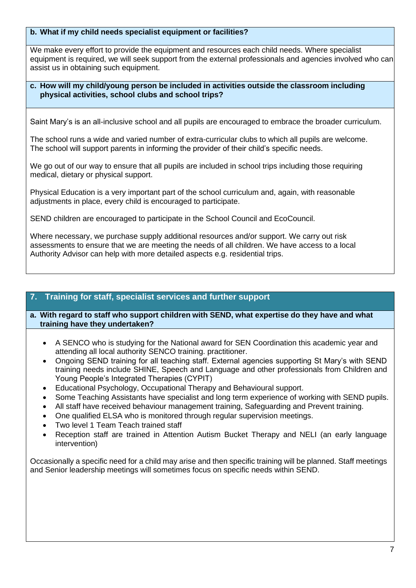#### **b. What if my child needs specialist equipment or facilities?**

We make every effort to provide the equipment and resources each child needs. Where specialist equipment is required, we will seek support from the external professionals and agencies involved who can assist us in obtaining such equipment.

## **c. How will my child/young person be included in activities outside the classroom including physical activities, school clubs and school trips?**

Saint Mary's is an all-inclusive school and all pupils are encouraged to embrace the broader curriculum.

The school runs a wide and varied number of extra-curricular clubs to which all pupils are welcome. The school will support parents in informing the provider of their child's specific needs.

We go out of our way to ensure that all pupils are included in school trips including those requiring medical, dietary or physical support.

Physical Education is a very important part of the school curriculum and, again, with reasonable adjustments in place, every child is encouraged to participate.

SEND children are encouraged to participate in the School Council and EcoCouncil.

Where necessary, we purchase supply additional resources and/or support. We carry out risk assessments to ensure that we are meeting the needs of all children. We have access to a local Authority Advisor can help with more detailed aspects e.g. residential trips.

# **7. Training for staff, specialist services and further support**

**a. With regard to staff who support children with SEND, what expertise do they have and what training have they undertaken?**

- A SENCO who is studying for the National award for SEN Coordination this academic year and attending all local authority SENCO training. practitioner.
- Ongoing SEND training for all teaching staff. External agencies supporting St Mary's with SEND training needs include SHINE, Speech and Language and other professionals from Children and Young People's Integrated Therapies (CYPIT)
- Educational Psychology, Occupational Therapy and Behavioural support.
- Some Teaching Assistants have specialist and long term experience of working with SEND pupils.
- All staff have received behaviour management training, Safeguarding and Prevent training.
- One qualified ELSA who is monitored through regular supervision meetings.
- Two level 1 Team Teach trained staff
- Reception staff are trained in Attention Autism Bucket Therapy and NELI (an early language intervention)

Occasionally a specific need for a child may arise and then specific training will be planned. Staff meetings and Senior leadership meetings will sometimes focus on specific needs within SEND.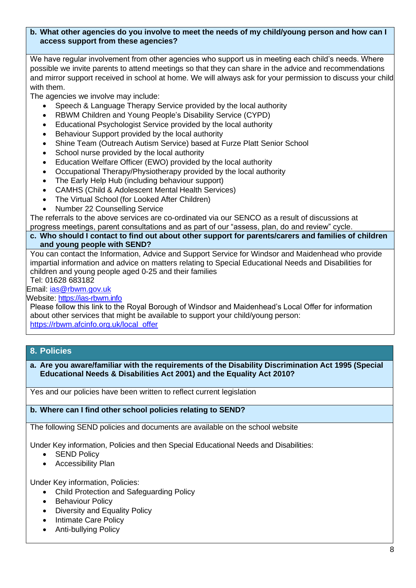#### **b. What other agencies do you involve to meet the needs of my child/young person and how can I access support from these agencies?**

We have regular involvement from other agencies who support us in meeting each child's needs. Where possible we invite parents to attend meetings so that they can share in the advice and recommendations and mirror support received in school at home. We will always ask for your permission to discuss your child with them.

The agencies we involve may include:

- Speech & Language Therapy Service provided by the local authority
- RBWM Children and Young People's Disability Service (CYPD)
- Educational Psychologist Service provided by the local authority
- Behaviour Support provided by the local authority
- Shine Team (Outreach Autism Service) based at Furze Platt Senior School
- School nurse provided by the local authority
- Education Welfare Officer (EWO) provided by the local authority
- Occupational Therapy/Physiotherapy provided by the local authority
- The Early Help Hub (including behaviour support)
- CAMHS (Child & Adolescent Mental Health Services)
- The Virtual School (for Looked After Children)
- Number 22 Counselling Service

The referrals to the above services are co-ordinated via our SENCO as a result of discussions at progress meetings, parent consultations and as part of our "assess, plan, do and review" cycle.

## **c. Who should I contact to find out about other support for parents/carers and families of children and young people with SEND?**

You can contact the Information, Advice and Support Service for Windsor and Maidenhead who provide impartial information and advice on matters relating to Special Educational Needs and Disabilities for children and young people aged 0-25 and their families Tel: 01628 683182

## Email: [ias@rbwm.gov.uk](mailto:ias@rbwm.gov.uk)

Website: [https://ias-rbwm.info](https://ias-rbwm.info/)

Please follow this link to the Royal Borough of Windsor and Maidenhead's Local Offer for information about other services that might be available to support your child/young person: [https://rbwm.afcinfo.org.uk/local\\_offer](https://rbwm.afcinfo.org.uk/local_offer)

## **8. Policies**

**a. Are you aware/familiar with the requirements of the Disability Discrimination Act 1995 (Special Educational Needs & Disabilities Act 2001) and the Equality Act 2010?**

Yes and our policies have been written to reflect current legislation

#### **b. Where can I find other school policies relating to SEND?**

The following SEND policies and documents are available on the school website

Under Key information, Policies and then Special Educational Needs and Disabilities:

- SEND Policy
- Accessibility Plan

Under Key information, Policies:

- Child Protection and Safeguarding Policy
- Behaviour Policy
- Diversity and Equality Policy
- Intimate Care Policy
- Anti-bullying Policy